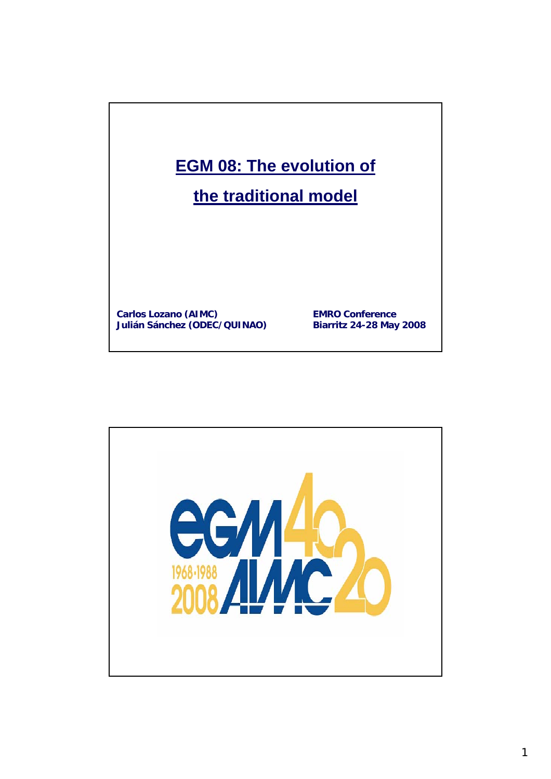

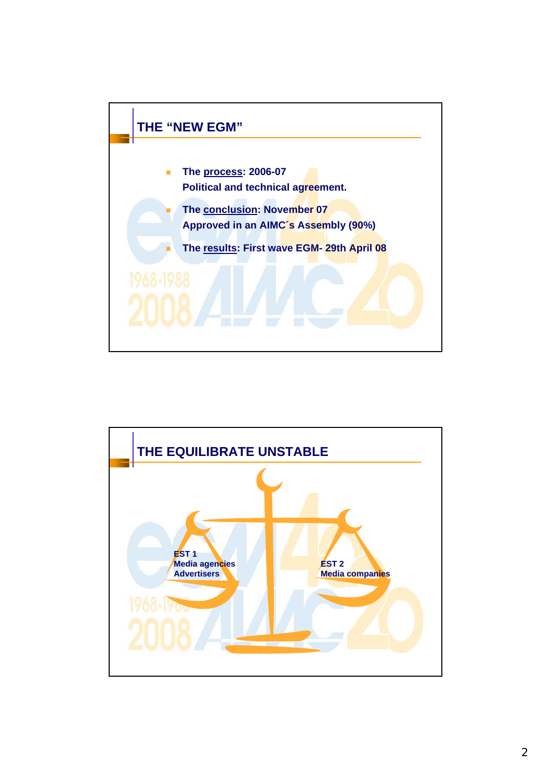

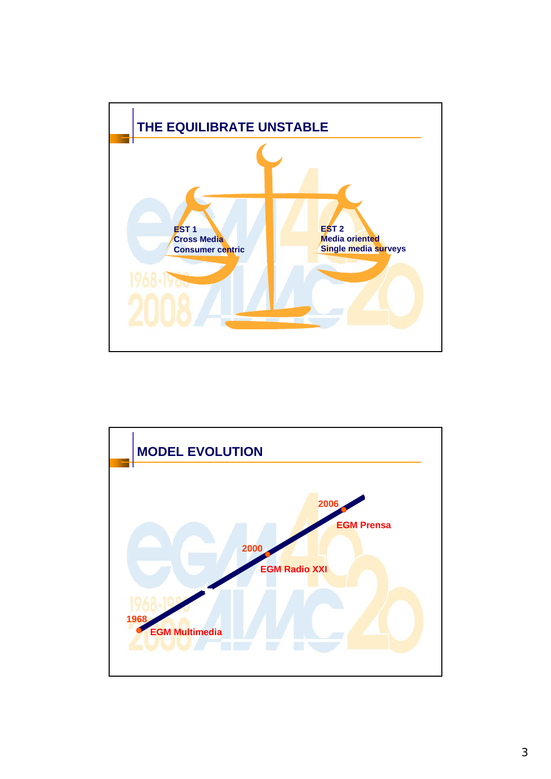

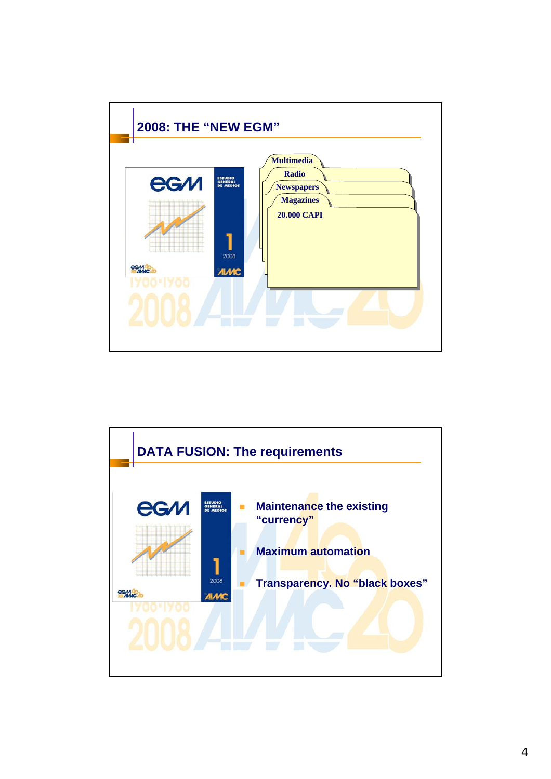

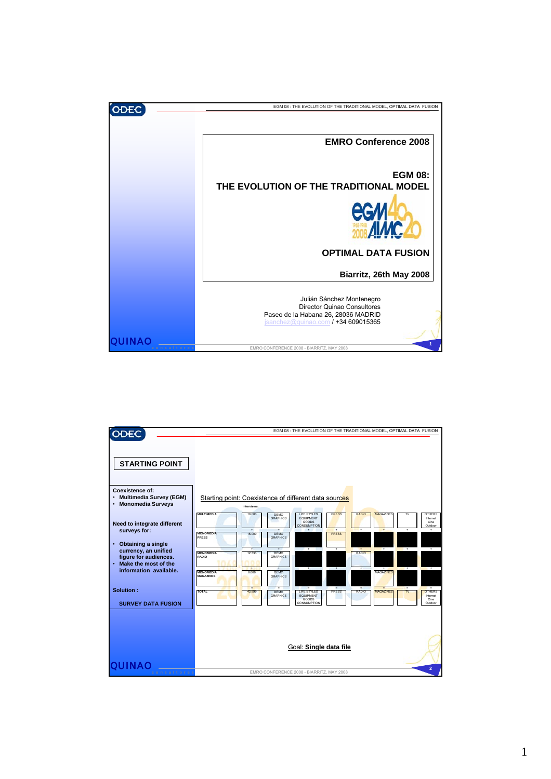

|                                                                                                                                                                                                       | EGM 08 : THE EVOLUTION OF THE TRADITIONAL MODEL, OPTIMAL DATA FUSION                                                                                                                                                                                                                                                                                                                                                                                                                                                                                                                                           |                                                                                                           |  |  |  |  |  |  |  |
|-------------------------------------------------------------------------------------------------------------------------------------------------------------------------------------------------------|----------------------------------------------------------------------------------------------------------------------------------------------------------------------------------------------------------------------------------------------------------------------------------------------------------------------------------------------------------------------------------------------------------------------------------------------------------------------------------------------------------------------------------------------------------------------------------------------------------------|-----------------------------------------------------------------------------------------------------------|--|--|--|--|--|--|--|
| <b>STARTING POINT</b><br>Coexistence of:<br>· Multimedia Survey (EGM)                                                                                                                                 |                                                                                                                                                                                                                                                                                                                                                                                                                                                                                                                                                                                                                |                                                                                                           |  |  |  |  |  |  |  |
| • Monomedia Surveys                                                                                                                                                                                   | Starting point: Coexistence of different data sources<br>Interviews:                                                                                                                                                                                                                                                                                                                                                                                                                                                                                                                                           |                                                                                                           |  |  |  |  |  |  |  |
| Need to integrate different<br>surveys for:<br><b>Obtaining a single</b><br>$\bullet$<br>currency, an unified<br>figure for audiences.<br>Make the most of the<br>$\bullet$<br>information available. | MULTIMEDIA<br><b>DEMO</b><br><b>LIFE STYLES</b><br><b>PRESS</b><br>RADIO<br><b>MAGAZINES</b><br>10,000<br><b>GRAPHICS</b><br><b>FOURMENT</b><br><b>GOODS</b><br><b>CONSUMPTION</b><br>$\ddot{\phantom{1}}$<br>$\ddot{\phantom{1}}$<br>$+$<br>$\ddot{\phantom{1}}$<br><b>MONOMEDIA</b><br>15,000<br><b>DEMO</b><br><b>PRESS</b><br>PRESS<br><b>GRAPHICS</b><br>÷.<br>٠<br>RADIO<br><b>MONOMEDIA</b><br>12.333<br><b>DEMO</b><br>RADIO<br><b>GRAPHICS</b><br>$\ddot{}$<br>÷<br>$\overline{\phantom{0}}$<br>$\overline{1}$<br>$\overline{1}$<br>Ŧ<br><b>MONOMEDIA</b><br><b>DEMO</b><br><b>MAGAZINES</b><br>6.666 | <b>OTHERS</b><br>TV<br>Internet<br>Cine<br>Outdoor<br>$\ddot{}$<br>$\ddot{}$<br>Ŧ<br>$\ddot{\phantom{1}}$ |  |  |  |  |  |  |  |
| Solution:<br><b>SURVEY DATA FUSION</b>                                                                                                                                                                | <b>MAGAZINES</b><br><b>GRAPHICS</b><br>٠<br>Ŧ<br>÷<br><b>TOTAL</b><br><b>DEMO</b><br>LIFE STYLES<br><b>PRESS</b><br>RADIO<br>MAGAZINES<br>43.999<br><b>GRAPHICS</b><br><b>EQUIPMENT</b><br>GOODS<br>CONSUMPTION                                                                                                                                                                                                                                                                                                                                                                                                | F<br>Ŧ<br><b>TV</b><br><b>OTHERS</b><br>Internet<br>Cine<br>Outdoor                                       |  |  |  |  |  |  |  |
|                                                                                                                                                                                                       | Goal: Single data file                                                                                                                                                                                                                                                                                                                                                                                                                                                                                                                                                                                         | $\overline{2}$                                                                                            |  |  |  |  |  |  |  |
| consultores                                                                                                                                                                                           | EMRO CONFERENCE 2008 - BIARRITZ, MAY 2008                                                                                                                                                                                                                                                                                                                                                                                                                                                                                                                                                                      |                                                                                                           |  |  |  |  |  |  |  |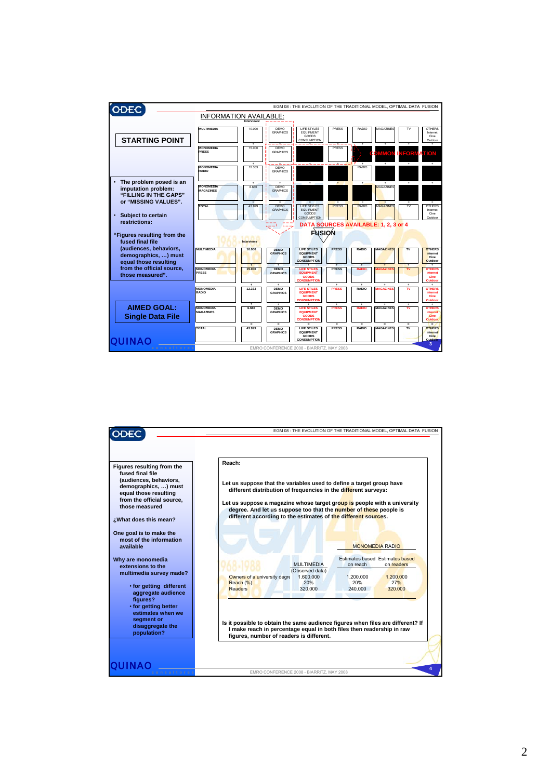|                                                                                                 |                                      | EGM 08 : THE EVOLUTION OF THE TRADITIONAL MODEL, OPTIMAL DATA FUSION |                                                            |                                                                                                    |                               |                           |                              |                               |                                                                        |
|-------------------------------------------------------------------------------------------------|--------------------------------------|----------------------------------------------------------------------|------------------------------------------------------------|----------------------------------------------------------------------------------------------------|-------------------------------|---------------------------|------------------------------|-------------------------------|------------------------------------------------------------------------|
|                                                                                                 | <b>INFORMATION AVAILABLE:</b>        |                                                                      |                                                            |                                                                                                    |                               |                           |                              |                               |                                                                        |
| <b>STARTING POINT</b>                                                                           | <b>MULTIMEDIA</b>                    | 10.000                                                               | DEMO<br><b>GRAPHICS</b>                                    | <b>LIFE STYLES</b><br>EQUIPMENT<br>GOODS<br>CONSUMPTION                                            | <b>PRESS</b>                  | RADIO                     | MAGAZINES                    | T٧                            | <b>OTHERS</b><br>Internet<br>Cine<br>Outdoor                           |
|                                                                                                 | <b>MONOMEDIA</b><br><b>PRESS</b>     | ٠<br>15.000<br>٠                                                     | DEMO<br><b>GRAPHICS</b><br>土                               | $-1 - 1 = -$                                                                                       | ٠<br><b>PRESS</b><br>- 4 - -  | ٠                         | at i<br>VIMOT<br>$\ddot{}$   | <b>FORMATION</b><br>$\ddot{}$ | ٠<br>٠                                                                 |
|                                                                                                 | <b>MONOMEDIA</b><br><b>RADIO</b>     | 12.333                                                               | <b>DEMO</b><br><b>GRAPHICS</b>                             |                                                                                                    |                               | <b>RADIO</b>              |                              |                               |                                                                        |
| The problem posed is an<br>imputation problem:<br>"FILLING IN THE GAPS"<br>or "MISSING VALUES". | <b>MONOMEDIA</b><br><b>MAGAZINES</b> | ٠<br>6,666                                                           | <b>DEMO</b><br><b>GRAPHICS</b>                             | ÷<br>$\blacksquare$                                                                                | $\bullet$                     | ÷.                        | <b>MAGAZINES</b>             | Ŧ                             | ٠<br>τ                                                                 |
| Subject to certain<br>$\bullet$<br>restrictions:                                                | <b>TOTAL</b>                         | 43.999                                                               | <b>DEMO</b><br><b>GRAPHICS</b>                             | <b>LIFE STYLES</b><br><b>EQUIPMENT</b><br>GOODS<br><b>CONSUMPTION</b>                              | <b>PRESS</b>                  | <b>RADIO</b>              | <b>MAGAZINES</b>             | TV                            | <b>OTHERS</b><br>Internet<br>Cine<br>Outdoor                           |
|                                                                                                 | DATA SOURCES AVAILABLE: 1, 2, 3 or 4 |                                                                      |                                                            |                                                                                                    |                               |                           |                              |                               |                                                                        |
| "Figures resulting from the<br>fused final file                                                 |                                      | <b>FUSION</b><br>Interviews                                          |                                                            |                                                                                                    |                               |                           |                              |                               |                                                                        |
| (audiences, behaviors,<br>demographics, ) must                                                  | <b>MULTIMEDIA</b>                    | 10,000                                                               | <b>DEMO</b><br><b>GRAPHICS</b>                             | <b>LIFE STILES</b><br><b>EQUIPMENT</b><br><b>GOODS</b><br><b>CONSUMPTION</b>                       | <b>PRESS</b>                  | <b>RADIO</b>              | <b>MAGAZINES</b>             |                               | <b>OTHERS</b><br>Internet<br>Cine                                      |
| equal those resulting<br>from the official source,<br>those measured".                          | <b>MONOMEDIA</b><br><b>PRESS</b>     | $\ddot{\phantom{1}}$<br>15,000                                       | <b>DEMO</b><br><b>GRAPHICS</b>                             | <b>LIFE STILES</b><br><b>EQUIPMENT</b><br><b>GOODS</b>                                             | $\rightarrow$<br><b>PRESS</b> | $\ddot{}$<br><b>RADIO</b> | $\bullet$                    | <b>A</b>                      | Outdoor<br><b>OTHERS</b><br><b>Internet</b><br>Cine                    |
|                                                                                                 | <b>MONOMEDIA</b><br>RADIO            | $\ddot{}$<br>12,333                                                  | $\ddot{}$<br><b>DEMO</b><br><b>GRAPHICS</b>                | <b>CONSUMPTION</b><br><b>LIFE STILES</b><br><b>EQUIPMENT</b><br><b>GOODS</b><br><b>CONSUMPTION</b> | $\ddot{}$<br><b>PRESS</b>     | $\ddot{}$<br><b>RADIO</b> | $\ddot{}$<br><b>IAGAZINE</b> | Ŧ<br>ΤV                       | Outdoor<br>٠<br><b>OTHERS</b><br><b>Internet</b><br>Cine<br>Outdoor    |
| <b>AIMED GOAL:</b><br><b>Single Data File</b>                                                   | <b>MONOMEDIA</b><br><b>MAGAZINES</b> | ٠<br>6,666                                                           | ٠<br><b>DEMO</b><br><b>GRAPHICS</b>                        | ÷.<br><b>LIFE STILES</b><br><b>FOUIPMENT</b><br><b>GOODS</b><br><b>ONSUMPTION</b>                  | ٠<br><b>PRESS</b>             | ٠<br><b>RADIO</b>         | ٠<br><b>MAGAZINES</b>        | $\ddot{}$<br>τv               | ٠<br><b>OTHERS</b><br><b>Internet</b><br><b>Cine</b><br><b>Outdoor</b> |
| <b>QUINA</b>                                                                                    | <b>TOTAL</b>                         | $\overline{\phantom{a}}$<br>43.999                                   | $\overline{\phantom{a}}$<br><b>DEMO</b><br><b>GRAPHICS</b> | ٠<br>LIFE STILES<br><b>EQUIPMENT</b><br>GOODS<br><b>CONSUMPTION</b>                                | $\equiv$<br><b>PRESS</b>      | $\equiv$<br><b>RADIO</b>  | ٠<br><b>MAGAZINES</b>        | $\equiv$<br>TV                | $=$<br><b>OTHERS</b><br>Internet<br>Cine<br><b>Quidoor</b>             |
| consultore:                                                                                     |                                      |                                                                      |                                                            | EMRO CONFERENCE 2008 - BIARRITZ, MAY 2008                                                          |                               |                           |                              |                               | 3                                                                      |

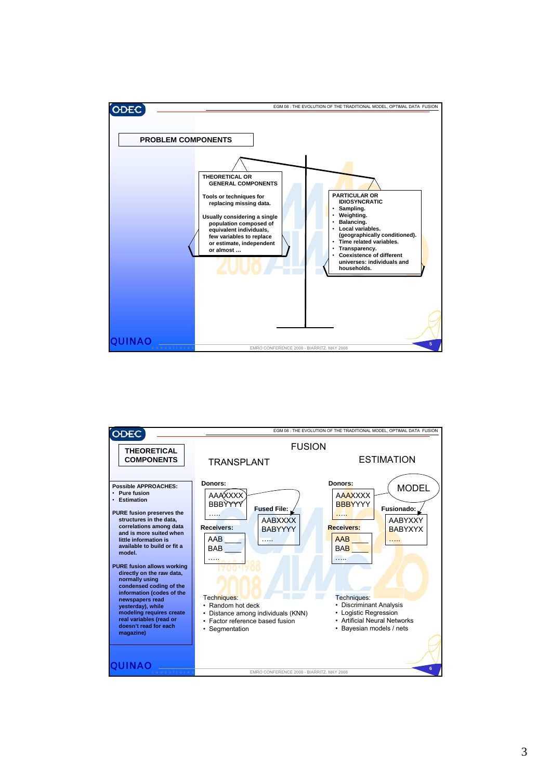

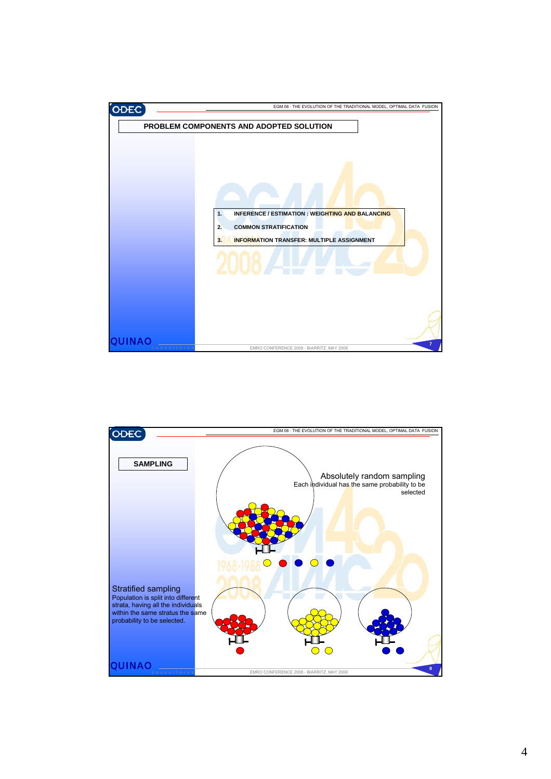

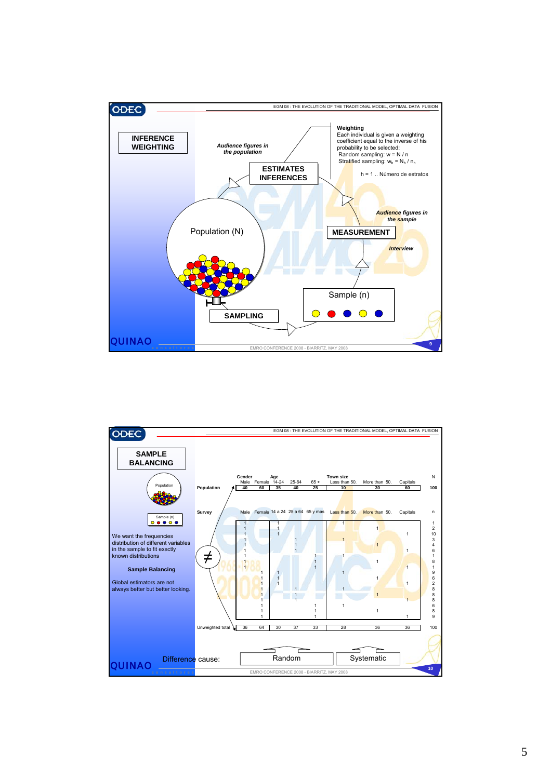

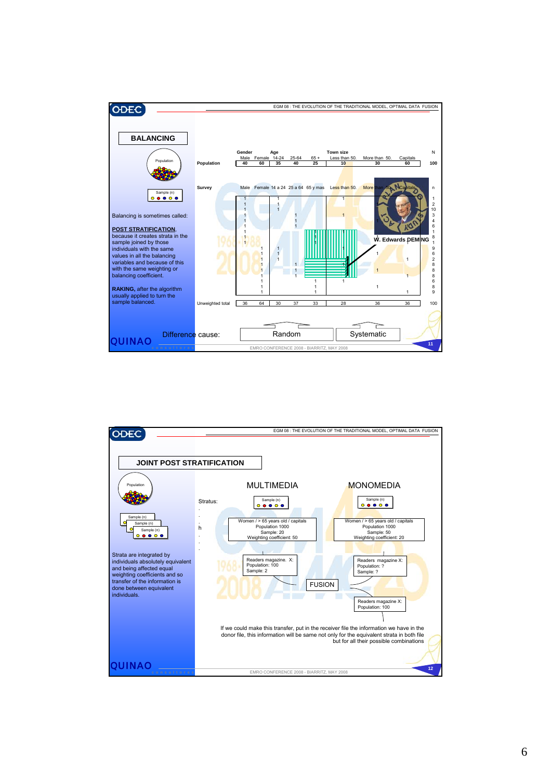

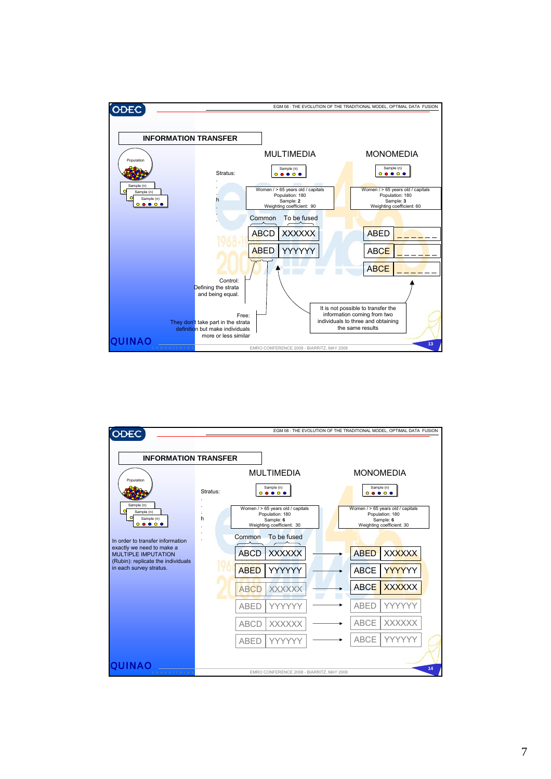

| <b>ODEC</b>                                                                                                                                                                                                                         | EGM 08 : THE EVOLUTION OF THE TRADITIONAL MODEL, OPTIMAL DATA FUSION |                                                                                                                                                                                                                                                                      |                                                                                                                                                                                                                                       |                                                                                                                                                                        |    |  |  |  |
|-------------------------------------------------------------------------------------------------------------------------------------------------------------------------------------------------------------------------------------|----------------------------------------------------------------------|----------------------------------------------------------------------------------------------------------------------------------------------------------------------------------------------------------------------------------------------------------------------|---------------------------------------------------------------------------------------------------------------------------------------------------------------------------------------------------------------------------------------|------------------------------------------------------------------------------------------------------------------------------------------------------------------------|----|--|--|--|
| <b>INFORMATION TRANSFER</b><br>Population<br>Sample (n)<br>$\Omega$<br>Sample (n)<br>Sample (n)<br>$\bullet\bullet\circ\bullet$<br>Ō<br>In order to transfer information<br>exactly we need to make a<br><b>MULTIPLE IMPUTATION</b> | Stratus:<br>h<br>Common                                              | <b>MULTIMEDIA</b><br>Sample (n)<br>$\begin{array}{ccc}\n\circ & \bullet & \bullet & \circ & \bullet \\ \end{array}$<br>Women / > 65 years old / capitals<br>Population: 180<br>Sample: 6<br>Weighting coefficient: 30<br>To be fused<br><b>ABCD</b><br><b>XXXXXX</b> | <b>MONOMEDIA</b><br>Sample (n)<br>$\begin{array}{cccccccccccccc} \circ & \bullet & \bullet & \circ & \bullet & \bullet \end{array}$<br>Women / > 65 years old / capitals<br>Population: 180<br>Sample: 6<br>Weighting coefficient: 30 |                                                                                                                                                                        |    |  |  |  |
| (Rubin): replicate the individuals<br>in each survey stratus.<br>UHNZO<br>consultores                                                                                                                                               |                                                                      | YYYYYY<br><b>ABED</b><br><b>ABCD</b><br><b>XXXXXX</b><br><b>ABED</b><br>YYYYYY<br><b>ABCD</b><br><b>XXXXXX</b><br><b>ABED</b><br>YYYYY<br>EMRO CONFERENCE 2008 - BIARRITZ, MAY 2008                                                                                  |                                                                                                                                                                                                                                       | <b>XXXXXX</b><br><b>ABED</b><br>YYYYYY<br><b>ABCE</b><br><b>ABCE</b><br><b>XXXXXX</b><br><b>ABED</b><br>YYYYY<br><b>ABCE</b><br><b>XXXXXX</b><br><b>ABCE</b><br>YYYYYY | 14 |  |  |  |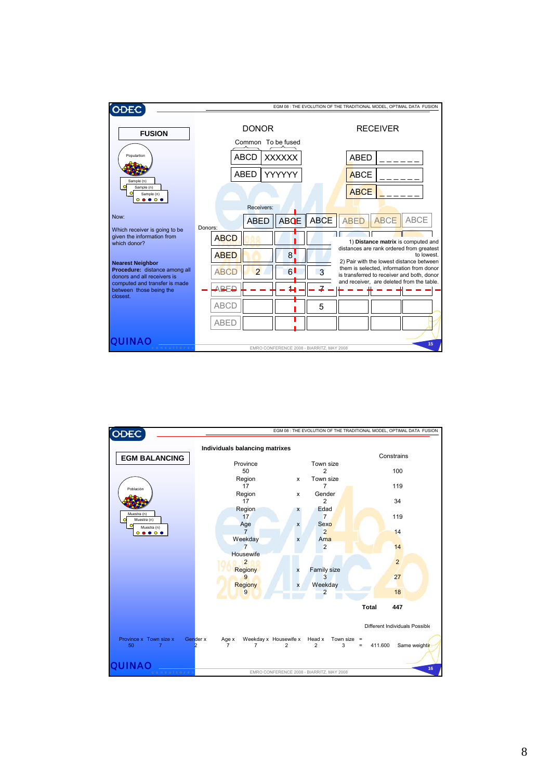

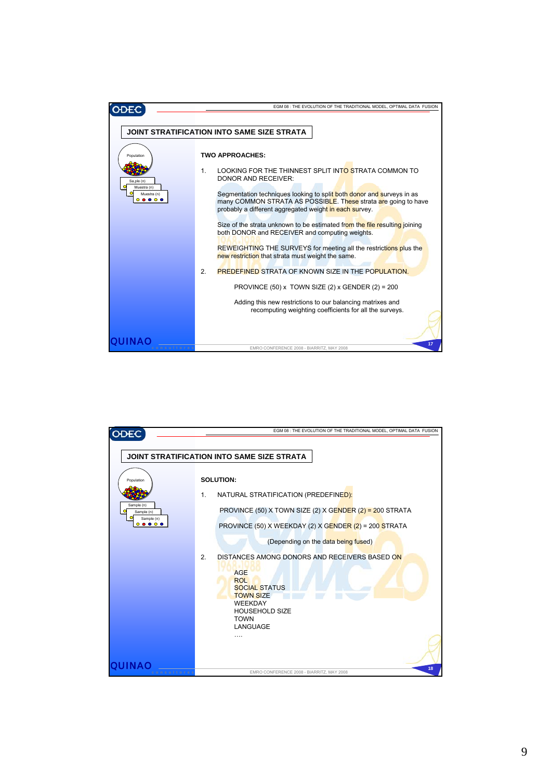|                                                        | EGM 08 : THE EVOLUTION OF THE TRADITIONAL MODEL, OPTIMAL DATA FUSION                                                                                                                                                                                                                                                                                                                                                                                                                                                                                                                                                                                                                                                                                                                                                                                           |
|--------------------------------------------------------|----------------------------------------------------------------------------------------------------------------------------------------------------------------------------------------------------------------------------------------------------------------------------------------------------------------------------------------------------------------------------------------------------------------------------------------------------------------------------------------------------------------------------------------------------------------------------------------------------------------------------------------------------------------------------------------------------------------------------------------------------------------------------------------------------------------------------------------------------------------|
|                                                        |                                                                                                                                                                                                                                                                                                                                                                                                                                                                                                                                                                                                                                                                                                                                                                                                                                                                |
|                                                        | JOINT STRATIFICATION INTO SAME SIZE STRATA                                                                                                                                                                                                                                                                                                                                                                                                                                                                                                                                                                                                                                                                                                                                                                                                                     |
| Population<br>Sa,ple (n)<br>Muestra (n)<br>Muestra (n) | <b>TWO APPROACHES:</b><br>1 <sub>1</sub><br>LOOKING FOR THE THINNEST SPLIT INTO STRATA COMMON TO<br><b>DONOR AND RECEIVER:</b><br>Segmentation techniques looking to split both donor and surveys in as<br>many COMMON STRATA AS POSSIBLE. These strata are going to have<br>probably a different aggregated weight in each survey.<br>Size of the strata unknown to be estimated from the file resulting joining<br>both DONOR and RECEIVER and computing weights.<br>REWEIGHTING THE SURVEYS for meeting all the restrictions plus the<br>new restriction that strata must weight the same.<br>$\mathcal{P}$<br><b>PREDEFINED STRATA OF KNOWN SIZE IN THE POPULATION.</b><br>PROVINCE $(50)$ x TOWN SIZE $(2)$ x GENDER $(2)$ = 200<br>Adding this new restrictions to our balancing matrixes and<br>recomputing weighting coefficients for all the surveys. |
| onsultore                                              | 17<br>EMRO CONFERENCE 2008 - BIARRITZ, MAY 2008                                                                                                                                                                                                                                                                                                                                                                                                                                                                                                                                                                                                                                                                                                                                                                                                                |

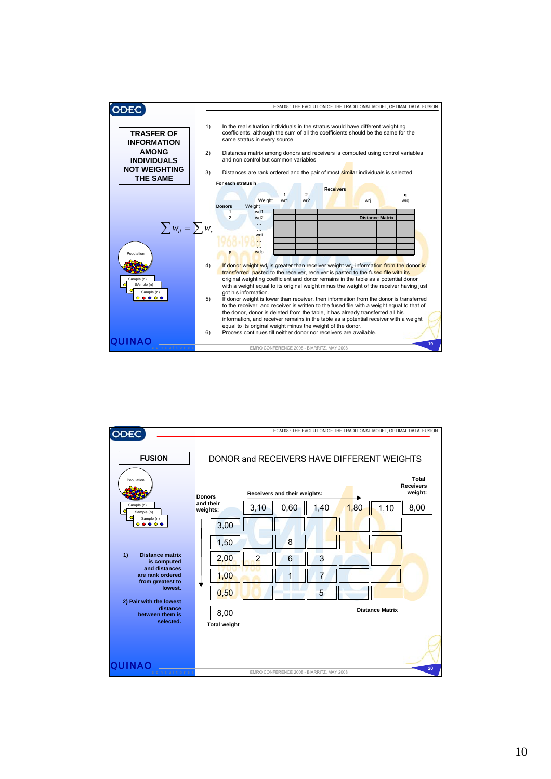

| ODEC                                                         | EGM 08 : THE EVOLUTION OF THE TRADITIONAL MODEL, OPTIMAL DATA FUSION |                |                              |                                           |      |                        |                                             |  |
|--------------------------------------------------------------|----------------------------------------------------------------------|----------------|------------------------------|-------------------------------------------|------|------------------------|---------------------------------------------|--|
| <b>FUSION</b>                                                | DONOR and RECEIVERS HAVE DIFFERENT WEIGHTS                           |                |                              |                                           |      |                        |                                             |  |
| Population                                                   | <b>Donors</b>                                                        |                | Receivers and their weights: |                                           |      |                        | <b>Total</b><br><b>Receivers</b><br>weight: |  |
| Sample (n)<br>Sample (n)                                     | and their<br>weights:                                                | 3,10           | 0,60                         | 1,40                                      | 1,80 | 1,10                   | 8,00                                        |  |
| Sample (n)<br>$\bullet\bullet\circ\bullet$<br>◓              | 3,00                                                                 |                |                              |                                           |      |                        |                                             |  |
|                                                              | 1,50                                                                 |                | 8                            |                                           |      |                        |                                             |  |
| 1)<br><b>Distance matrix</b><br>is computed<br>and distances | 2,00                                                                 | $\overline{2}$ | 6                            | 3                                         |      |                        |                                             |  |
| are rank ordered<br>from greatest to                         | 1,00                                                                 |                | 1                            | $\overline{7}$                            |      |                        |                                             |  |
| lowest.<br>2) Pair with the lowest                           | ▼<br>0,50                                                            |                |                              | 5                                         |      |                        |                                             |  |
| distance<br>between them is<br>selected.                     | 8,00                                                                 |                |                              |                                           |      | <b>Distance Matrix</b> |                                             |  |
| QUINAO                                                       | <b>Total weight</b>                                                  |                |                              |                                           |      |                        |                                             |  |
| consultores                                                  |                                                                      |                |                              | EMRO CONFERENCE 2008 - BIARRITZ, MAY 2008 |      |                        | 20                                          |  |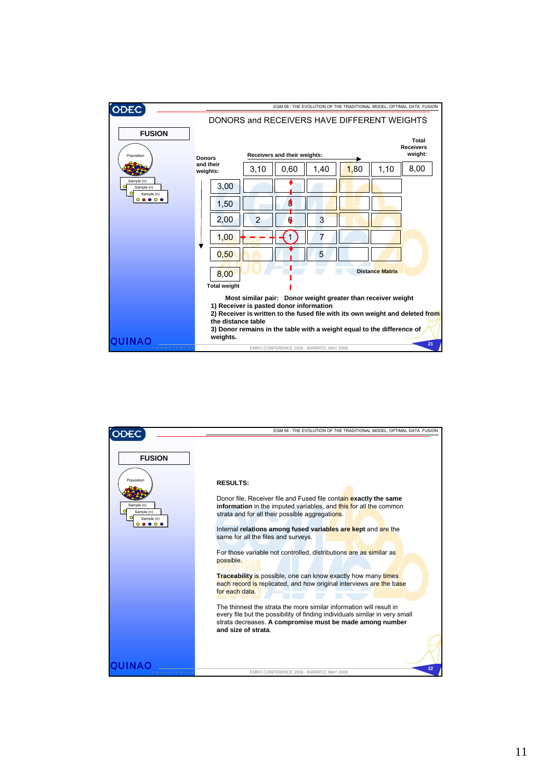

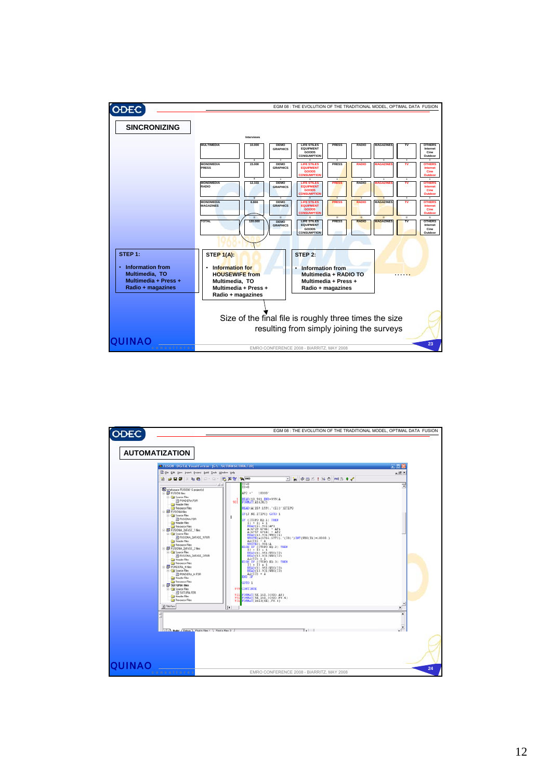